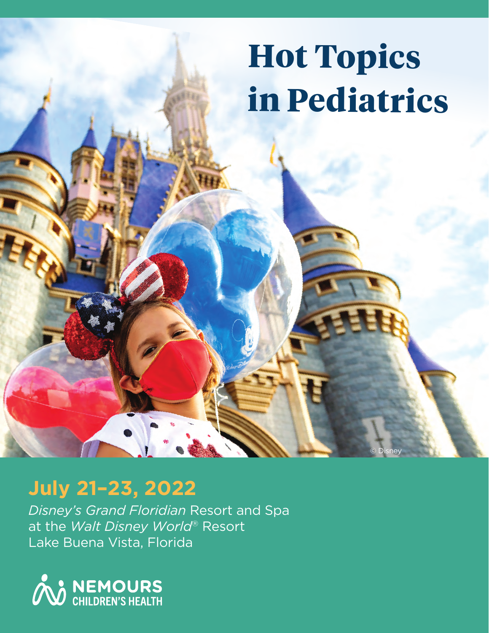# **Hot Topics in Pediatrics**

© Disney

# **July 21–23, 2022**

*Disney's Grand Floridian* Resort and Spa at the *Walt Disney World*® Resort Lake Buena Vista, Florida

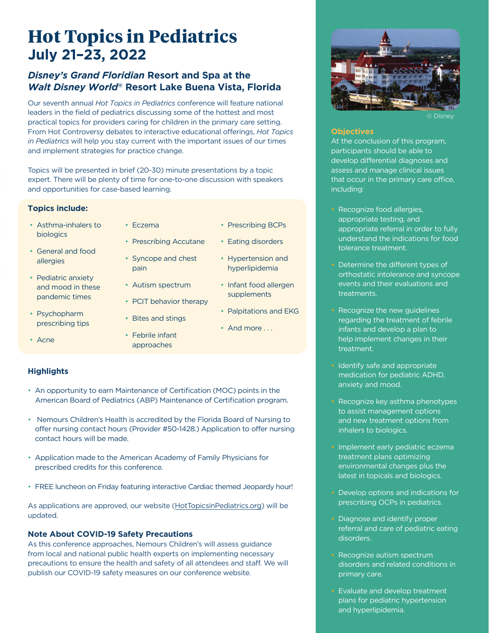# **Hot Topics in Pediatrics July 21–23, 2022**

# *Disney's Grand Floridian* **Resort and Spa at the**  *Walt Disney World***® Resort Lake Buena Vista, Florida**

Our seventh annual *Hot Topics in Pediatrics* conference will feature national leaders in the field of pediatrics discussing some of the hottest and most practical topics for providers caring for children in the primary care setting. From Hot Controversy debates to interactive educational offerings, *Hot Topics in Pediatrics* will help you stay current with the important issues of our times and implement strategies for practice change.

Topics will be presented in brief (20-30) minute presentations by a topic expert. There will be plenty of time for one-to-one discussion with speakers and opportunities for case-based learning.

#### **Topics include:**

- Asthma-inhalers to biologics
- General and food allergies
- Pediatric anxiety and mood in these pandemic times
- Psychopharm prescribing tips
- Acne
- Eczema
- Prescribing Accutane
- Syncope and chest pain
	- Autism spectrum
	- PCIT behavior therapy
- Bites and stings
- Febrile infant approaches
- Eating disorders
	- Hypertension and hyperlipidemia

• Prescribing BCPs

- Infant food allergen supplements
- Palpitations and EKG
- And more ...

### **Highlights**

- An opportunity to earn Maintenance of Certification (MOC) points in the American Board of Pediatrics (ABP) Maintenance of Certification program.
- Nemours Children's Health is accredited by the Florida Board of Nursing to offer nursing contact hours (Provider #50-1428.) Application to offer nursing contact hours will be made.
- Application made to the American Academy of Family Physicians for prescribed credits for this conference.
- FREE luncheon on Friday featuring interactive Cardiac themed Jeopardy hour!

As applications are approved, our website (HotTopicsinPediatrics.org) will be updated.

### **Note About COVID-19 Safety Precautions**

As this conference approaches, Nemours Children's will assess guidance from local and national public health experts on implementing necessary precautions to ensure the health and safety of all attendees and staff. We will publish our COVID-19 safety measures on our conference website.



© Disney

#### **Objectives**

At the conclusion of this program, participants should be able to develop differential diagnoses and assess and manage clinical issues that occur in the primary care office, including:

- Recognize food allergies, appropriate testing, and appropriate referral in order to fully understand the indications for food tolerance treatment.
- Determine the different types of orthostatic intolerance and syncope events and their evaluations and treatments.
- Recognize the new guidelines regarding the treatment of febrile infants and develop a plan to help implement changes in their treatment.
- Identify safe and appropriate medication for pediatric ADHD, anxiety and mood.
- Recognize key asthma phenotypes to assist management options and new treatment options from inhalers to biologics.
- Implement early pediatric eczema treatment plans optimizing environmental changes plus the latest in topicals and biologics.
- Develop options and indications for prescribing OCPs in pediatrics.
- Diagnose and identify proper referral and care of pediatric eating disorders.
- Recognize autism spectrum disorders and related conditions in primary care.
- Evaluate and develop treatment plans for pediatric hypertension and hyperlipidemia.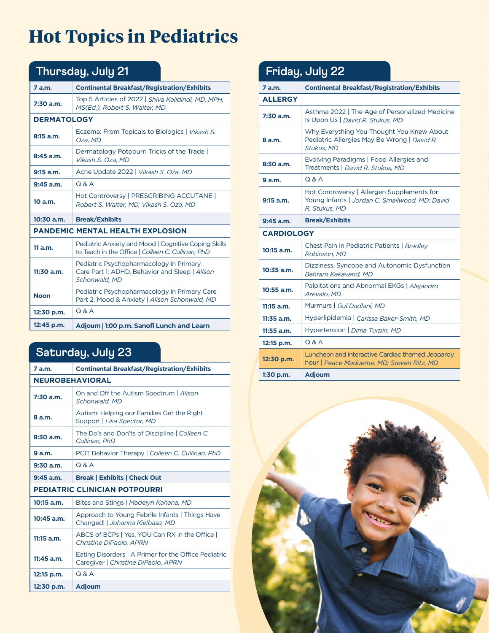# **Hot Topics in Pediatrics**

| Thursday, July 21                       |                                                                                                                  |  |
|-----------------------------------------|------------------------------------------------------------------------------------------------------------------|--|
| 7 a.m.                                  | <b>Continental Breakfast/Registration/Exhibits</b>                                                               |  |
| $7:30$ a.m.                             | Top 5 Articles of 2022   Shiva Kalidindi, MD, MPH,<br>MS(Ed.); Robert S. Walter, MD                              |  |
| <b>DERMATOLOGY</b>                      |                                                                                                                  |  |
| $8:15$ a.m.                             | Eczema: From Topicals to Biologics   Vikash S.<br>Oza, MD                                                        |  |
| 8:45 a.m.                               | Dermatology Potpourri Tricks of the Trade<br>Vikash S. Oza. MD                                                   |  |
| $9:15$ a.m.                             | Acne Update 2022   Vikash S. Oza. MD                                                                             |  |
| $9:45$ a.m.                             | Q & A                                                                                                            |  |
| 10 a.m.                                 | Hot Controversy   PRESCRIBING ACCUTANE  <br>Robert S. Walter, MD; Vikash S. Oza, MD                              |  |
| 10:30 a.m.                              | <b>Break/Exhibits</b>                                                                                            |  |
| <b>PANDEMIC MENTAL HEALTH EXPLOSION</b> |                                                                                                                  |  |
| 11 a.m.                                 | <b>Pediatric Anxiety and Mood   Cognitive Coping Skills</b><br>to Teach in the Office   Colleen C. Cullinan, PhD |  |
|                                         |                                                                                                                  |  |
| $11:30$ a.m.                            | Pediatric Psychopharmacology in Primary<br>Care Part 1: ADHD, Behavior and Sleep   Alison<br>Schonwald, MD       |  |
| <b>Noon</b>                             | Pediatric Psychopharmacology in Primary Care<br>Part 2: Mood & Anxiety   Alison Schonwald, MD                    |  |
| 12:30 p.m.                              | Q & A                                                                                                            |  |

# **Saturday, July 23**

| 7 a.m.                               | <b>Continental Breakfast/Registration/Exhibits</b>                                          |
|--------------------------------------|---------------------------------------------------------------------------------------------|
| <b>NEUROBEHAVIORAL</b>               |                                                                                             |
| $7:30$ a.m.                          | On and Off the Autism Spectrum   Alison<br>Schonwald, MD                                    |
| 8 a.m.                               | Autism: Helping our Families Get the Right<br>Support   Lisa Spector, MD                    |
| $8:30$ a.m.                          | The Do's and Don'ts of Discipline   Colleen C.<br>Cullinan, PhD                             |
| 9 a.m.                               | PCIT Behavior Therapy   Colleen C. Cullinan, PhD                                            |
| $9:30$ a.m.                          | Q & A                                                                                       |
| $9:45$ a.m.                          | <b>Break   Exhibits   Check Out</b>                                                         |
| <b>PEDIATRIC CLINICIAN POTPOURRI</b> |                                                                                             |
| $10:15$ a.m.                         | Bites and Stings   Madelyn Kahana, MD                                                       |
| $10:45$ a.m.                         | Approach to Young Febrile Infants   Things Have<br>Changed!   Johanna Kielbasa, MD          |
| $11:15$ a.m.                         | ABCS of BCPs   Yes, YOU Can RX in the Office  <br><b>Christine DiPaolo, APRN</b>            |
| 11:45 a.m.                           | Eating Disorders   A Primer for the Office Pediatric<br>Caregiver   Christine DiPaolo, APRN |
| 12:15 p.m.                           | $Q$ & $A$                                                                                   |
| 12:30 p.m.                           | <b>Adjourn</b>                                                                              |

### **7 a.m. Continental Breakfast/Registration/Exhibits ALLERGY 7:30 a.m.** Asthma 2022 | The Age of Personalized Medicine Is Upon Us | *David R. Stukus, MD* **8 a.m.**  Why Everything You Thought You Knew About Pediatric Allergies May Be Wrong | *David R. Stukus, MD* **8:30 a.m.** Evolving Paradigms | Food Allergies and Treatments | *David R. Stukus, MD* **9 a.m.** Q & A **9:15 a.m.** Hot Controversy | Allergen Supplements for Young Infants | *Jordan C. Smallwood, MD; David R. Stukus, MD* **9:45 a.m. Break/Exhibits CARDIOLOGY 10:15 a.m.** Chest Pain in Pediatric Patients | *Bradley Robinson, MD* **10:35 a.m. Dizziness, Syncope and Autonomic Dysfunction |** *Bahram Kakavand, MD* **10:55 a.m.** Palpitations and Abnormal EKGs | *Alejandro Arevalo, MD* **11:15 a.m.** Murmurs | *Gul Dadlani, MD* **11:35 a.m.** Hyperlipidemia | *Carissa Baker-Smith, MD* **11:55 a.m.** Hypertension | *Dima Turpin, MD* **12:15 p.m.** Q & A **12:30 p.m.** Luncheon and interactive Cardiac themed Jeopardy<br>**12:30 p.m.** Lourse Direct Mark theme MP City on Pit MP hour | *Peace Madueme, MD; Steven Ritz, MD* **1:30 p.m. Adjourn Friday, July 22**

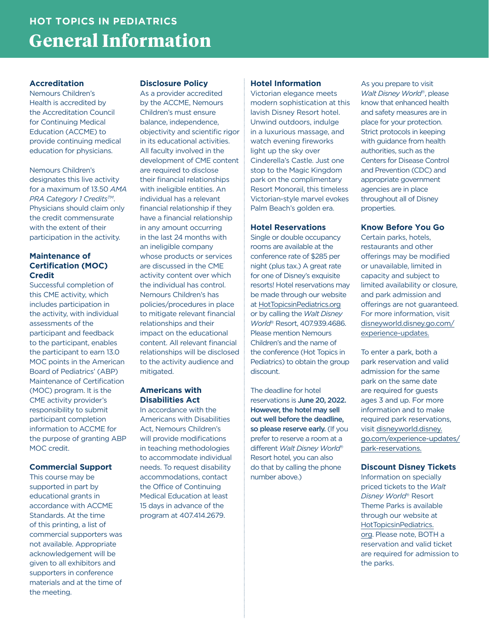# **HOT TOPICS IN PEDIATRICS General Information**

### **Accreditation**

Nemours Children's Health is accredited by the Accreditation Council for Continuing Medical Education (ACCME) to provide continuing medical education for physicians.

Nemours Children's designates this live activity for a maximum of 13.50 *AMA*  **PRA Category 1 Credits™.** Physicians should claim only the credit commensurate with the extent of their participation in the activity.

### **Maintenance of Certification (MOC) Credit**

Successful completion of this CME activity, which includes participation in the activity, with individual assessments of the participant and feedback to the participant, enables the participant to earn 13.0 MOC points in the American Board of Pediatrics' (ABP) Maintenance of Certification (MOC) program. It is the CME activity provider's responsibility to submit participant completion information to ACCME for the purpose of granting ABP MOC credit.

### **Commercial Support**

This course may be supported in part by educational grants in accordance with ACCME Standards. At the time of this printing, a list of commercial supporters was not available. Appropriate acknowledgement will be given to all exhibitors and supporters in conference materials and at the time of the meeting.

#### **Disclosure Policy**

As a provider accredited by the ACCME, Nemours Children's must ensure balance, independence, objectivity and scientific rigor in its educational activities. All faculty involved in the development of CME content are required to disclose their financial relationships with ineligible entities. An individual has a relevant financial relationship if they have a financial relationship in any amount occurring in the last 24 months with an ineligible company whose products or services are discussed in the CME activity content over which the individual has control. Nemours Children's has policies/procedures in place to mitigate relevant financial relationships and their impact on the educational content. All relevant financial relationships will be disclosed to the activity audience and mitigated.

#### **Americans with Disabilities Act**

In accordance with the Americans with Disabilities Act, Nemours Children's will provide modifications in teaching methodologies to accommodate individual needs. To request disability accommodations, contact the Office of Continuing Medical Education at least 15 days in advance of the program at 407.414.2679.

#### **Hotel Information**

Victorian elegance meets modern sophistication at this lavish Disney Resort hotel. Unwind outdoors, indulge in a luxurious massage, and watch evening fireworks light up the sky over Cinderella's Castle. Just one stop to the Magic Kingdom park on the complimentary Resort Monorail, this timeless Victorian-style marvel evokes Palm Beach's golden era.

#### **Hotel Reservations**

Single or double occupancy rooms are available at the conference rate of \$285 per night (plus tax.) A great rate for one of Disney's exquisite resorts! Hotel reservations may be made through our website at HotTopicsinPediatrics.org or by calling the *Walt Disney World*® Resort, 407.939.4686. Please mention Nemours Children's and the name of the conference (Hot Topics in Pediatrics) to obtain the group discount.

The deadline for hotel reservations is June 20, 2022. However, the hotel may sell out well before the deadline, so please reserve early. (If you prefer to reserve a room at a different *Walt Disney World*® Resort hotel, you can also do that by calling the phone number above.)

As you prepare to visit *Walt Disney World*®, please know that enhanced health and safety measures are in place for your protection. Strict protocols in keeping with guidance from health authorities, such as the Centers for Disease Control and Prevention (CDC) and appropriate government agencies are in place throughout all of Disney properties.

#### **Know Before You Go**

Certain parks, hotels, restaurants and other offerings may be modified or unavailable, limited in capacity and subject to limited availability or closure, and park admission and offerings are not guaranteed. For more information, visit disneyworld.disney.go.com/ experience-updates.

To enter a park, both a park reservation and valid admission for the same park on the same date are required for guests ages 3 and up. For more information and to make required park reservations, visit disneyworld.disney. go.com/experience-updates/ park-reservations.

#### **Discount Disney Tickets**

Information on specially priced tickets to the *Walt Disney World*® Resort Theme Parks is available through our website at HotTopicsinPediatrics. org. Please note, BOTH a reservation and valid ticket are required for admission to the parks.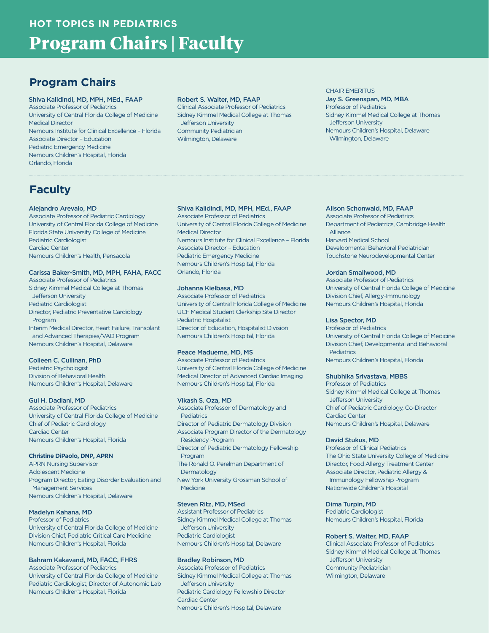# **HOT TOPICS IN PEDIATRICS Program Chairs | Faculty**

# **Program Chairs**

#### Shiva Kalidindi, MD, MPH, MEd., FAAP

Associate Professor of Pediatrics University of Central Florida College of Medicine Medical Director Nemours Institute for Clinical Excellence – Florida Associate Director – Education Pediatric Emergency Medicine Nemours Children's Hospital, Florida Orlando, Florida

#### Robert S. Walter, MD, FAAP

Clinical Associate Professor of Pediatrics Sidney Kimmel Medical College at Thomas Jefferson University Community Pediatrician Wilmington, Delaware

#### CHAIR EMERITUS

Jay S. Greenspan, MD, MBA Professor of Pediatrics Sidney Kimmel Medical College at Thomas Jefferson University Nemours Children's Hospital, Delaware Wilmington, Delaware

# **Faculty**

#### Alejandro Arevalo, MD

Associate Professor of Pediatric Cardiology University of Central Florida College of Medicine Florida State University College of Medicine Pediatric Cardiologist Cardiac Center Nemours Children's Health, Pensacola

#### Carissa Baker-Smith, MD, MPH, FAHA, FACC

Associate Professor of Pediatrics Sidney Kimmel Medical College at Thomas Jefferson University Pediatric Cardiologist Director, Pediatric Preventative Cardiology Program Interim Medical Director, Heart Failure, Transplant and Advanced Therapies/VAD Program

Nemours Children's Hospital, Delaware

#### Colleen C. Cullinan, PhD

Pediatric Psychologist Division of Behavioral Health Nemours Children's Hospital, Delaware

#### Gul H. Dadlani, MD

Associate Professor of Pediatrics University of Central Florida College of Medicine Chief of Pediatric Cardiology Cardiac Center Nemours Children's Hospital, Florida

#### **Christine DiPaolo, DNP, APRN**

APRN Nursing Supervisor Adolescent Medicine Program Director, Eating Disorder Evaluation and Management Services Nemours Children's Hospital, Delaware

#### Madelyn Kahana, MD

Professor of Pediatrics University of Central Florida College of Medicine Division Chief, Pediatric Critical Care Medicine Nemours Children's Hospital, Florida

#### Bahram Kakavand, MD, FACC, FHRS

Associate Professor of Pediatrics University of Central Florida College of Medicine Pediatric Cardiologist, Director of Autonomic Lab Nemours Children's Hospital, Florida

#### Shiva Kalidindi, MD, MPH, MEd., FAAP

Associate Professor of Pediatrics University of Central Florida College of Medicine Medical Director Nemours Institute for Clinical Excellence – Florida Associate Director – Education Pediatric Emergency Medicine Nemours Children's Hospital, Florida Orlando, Florida

#### Johanna Kielbasa, MD

Associate Professor of Pediatrics University of Central Florida College of Medicine UCF Medical Student Clerkship Site Director Pediatric Hospitalist Director of Education, Hospitalist Division Nemours Children's Hospital, Florida

#### Peace Madueme, MD, MS

Associate Professor of Pediatrics University of Central Florida College of Medicine Medical Director of Advanced Cardiac Imaging Nemours Children's Hospital, Florida

#### Vikash S. Oza, MD

Associate Professor of Dermatology and **Pediatrics** Director of Pediatric Dermatology Division Associate Program Director of the Dermatology Residency Program Director of Pediatric Dermatology Fellowship Program The Ronald O. Perelman Department of **Dermatology** New York University Grossman School of Medicine

#### Steven Ritz, MD, MSed

Assistant Professor of Pediatrics Sidney Kimmel Medical College at Thomas Jefferson University Pediatric Cardiologist Nemours Children's Hospital, Delaware

#### Bradley Robinson, MD

Associate Professor of Pediatrics Sidney Kimmel Medical College at Thomas Jefferson University Pediatric Cardiology Fellowship Director Cardiac Center Nemours Children's Hospital, Delaware

#### Alison Schonwald, MD, FAAP

Associate Professor of Pediatrics Department of Pediatrics, Cambridge Health Alliance Harvard Medical School Developmental Behavioral Pediatrician Touchstone Neurodevelopmental Center

#### Jordan Smallwood, MD

Associate Professor of Pediatrics University of Central Florida College of Medicine Division Chief, Allergy-Immunology Nemours Children's Hospital, Florida

#### Lisa Spector, MD

Professor of Pediatrics University of Central Florida College of Medicine Division Chief, Developmental and Behavioral **Pediatrics** Nemours Children's Hospital, Florida

#### Shubhika Srivastava, MBBS

Professor of Pediatrics Sidney Kimmel Medical College at Thomas Jefferson University Chief of Pediatric Cardiology, Co-Director Cardiac Center Nemours Children's Hospital, Delaware

#### David Stukus, MD

Professor of Clinical Pediatrics The Ohio State University College of Medicine Director, Food Allergy Treatment Center Associate Director, Pediatric Allergy & Immunology Fellowship Program Nationwide Children's Hospital

#### Dima Turpin, MD

Pediatric Cardiologist Nemours Children's Hospital, Florida

#### Robert S. Walter, MD, FAAP

Clinical Associate Professor of Pediatrics Sidney Kimmel Medical College at Thomas Jefferson University Community Pediatrician Wilmington, Delaware